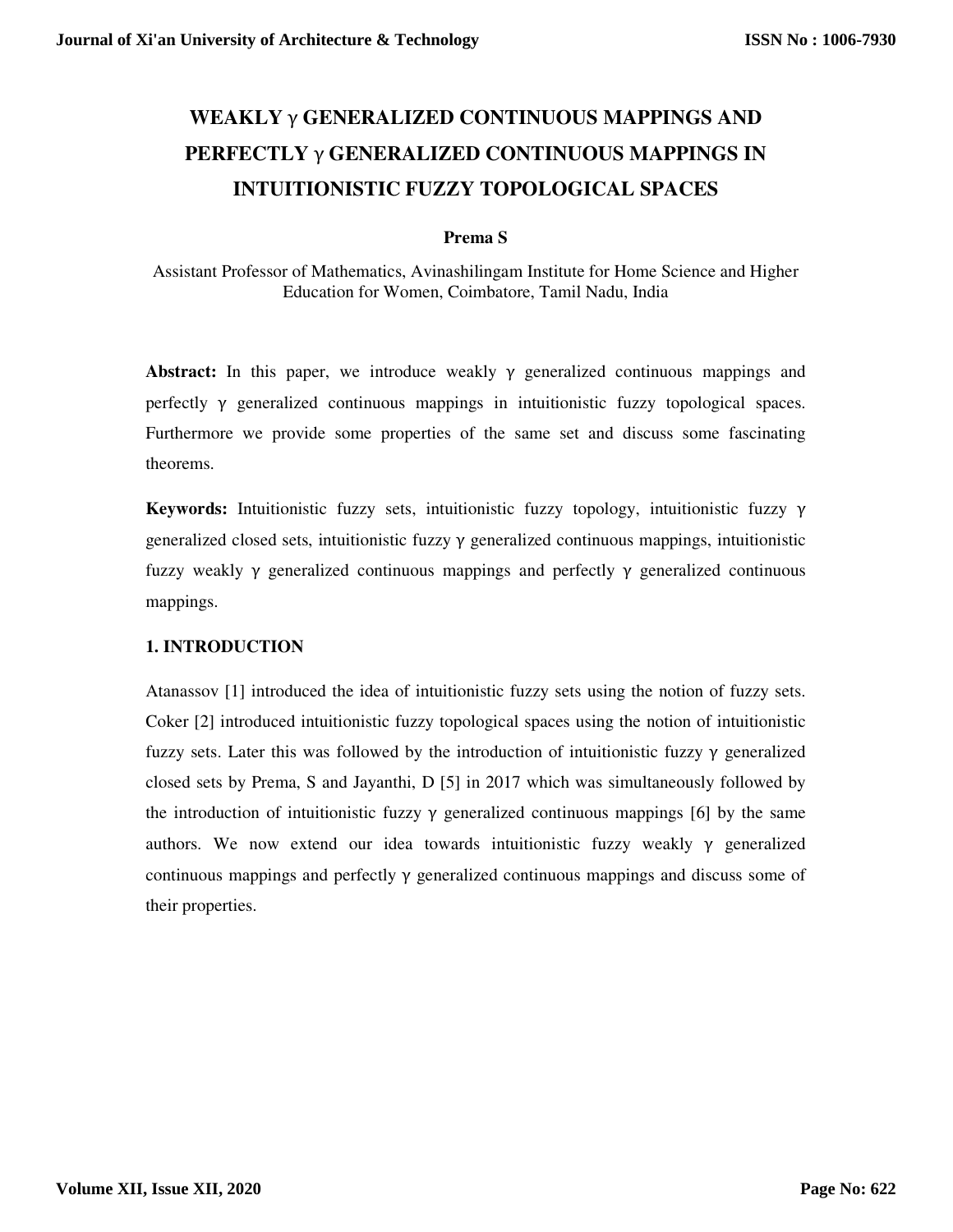# **WEAKLY** γ **GENERALIZED CONTINUOUS MAPPINGS AND PERFECTLY** γ **GENERALIZED CONTINUOUS MAPPINGS IN INTUITIONISTIC FUZZY TOPOLOGICAL SPACES**

### **Prema S**

Assistant Professor of Mathematics, Avinashilingam Institute for Home Science and Higher Education for Women, Coimbatore, Tamil Nadu, India

**Abstract:** In this paper, we introduce weakly γ generalized continuous mappings and perfectly γ generalized continuous mappings in intuitionistic fuzzy topological spaces. Furthermore we provide some properties of the same set and discuss some fascinating theorems.

**Keywords:** Intuitionistic fuzzy sets, intuitionistic fuzzy topology, intuitionistic fuzzy γ generalized closed sets, intuitionistic fuzzy  $\gamma$  generalized continuous mappings, intuitionistic fuzzy weakly γ generalized continuous mappings and perfectly γ generalized continuous mappings.

### **1. INTRODUCTION**

Atanassov [1] introduced the idea of intuitionistic fuzzy sets using the notion of fuzzy sets. Coker [2] introduced intuitionistic fuzzy topological spaces using the notion of intuitionistic fuzzy sets. Later this was followed by the introduction of intuitionistic fuzzy  $\gamma$  generalized closed sets by Prema, S and Jayanthi, D [5] in 2017 which was simultaneously followed by the introduction of intuitionistic fuzzy  $\gamma$  generalized continuous mappings [6] by the same authors. We now extend our idea towards intuitionistic fuzzy weakly  $\gamma$  generalized continuous mappings and perfectly  $\gamma$  generalized continuous mappings and discuss some of their properties.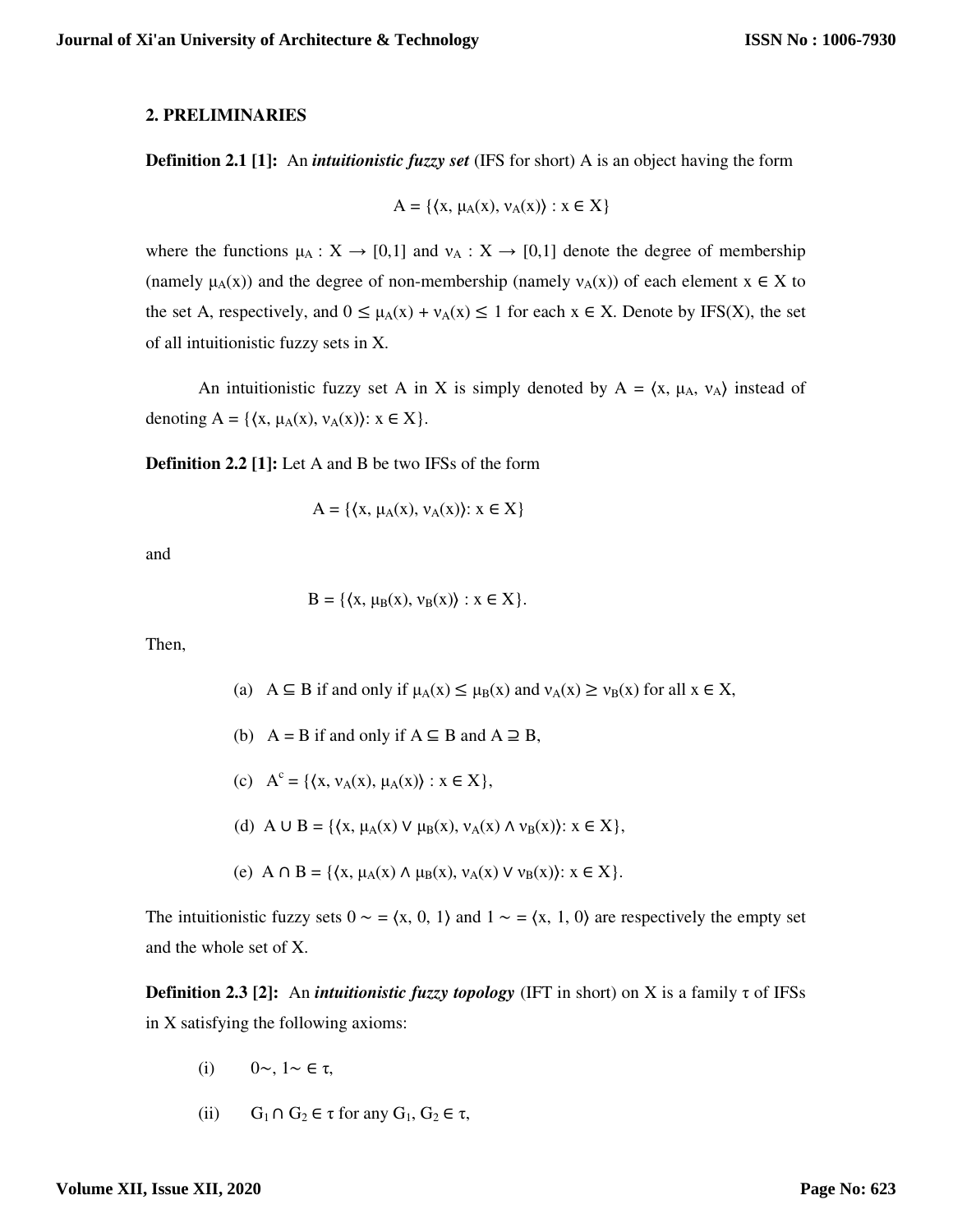#### **2. PRELIMINARIES**

**Definition 2.1 [1]:** An *intuitionistic fuzzy set* (IFS for short) A is an object having the form

$$
A = \{ \langle x, \mu_A(x), \nu_A(x) \rangle : x \in X \}
$$

where the functions  $\mu_A : X \to [0,1]$  and  $\nu_A : X \to [0,1]$  denote the degree of membership (namely  $\mu_A(x)$ ) and the degree of non-membership (namely  $v_A(x)$ ) of each element  $x \in X$  to the set A, respectively, and  $0 \leq \mu_A(x) + \nu_A(x) \leq 1$  for each  $x \in X$ . Denote by IFS(X), the set of all intuitionistic fuzzy sets in X.

An intuitionistic fuzzy set A in X is simply denoted by  $A = \langle x, \mu_A, \nu_A \rangle$  instead of denoting  $A = \{ \langle x, \mu_A(x), \nu_A(x) \rangle : x \in X \}.$ 

**Definition 2.2 [1]:** Let A and B be two IFSs of the form

$$
A = \{ \langle x, \mu_A(x), \nu_A(x) \rangle : x \in X \}
$$

and

$$
B = \{ \langle x, \mu_B(x), \nu_B(x) \rangle : x \in X \}.
$$

Then,

- (a) A  $\subseteq$  B if and only if  $\mu_A(x) \leq \mu_B(x)$  and  $\nu_A(x) \geq \nu_B(x)$  for all  $x \in X$ ,
- (b)  $A = B$  if and only if  $A \subseteq B$  and  $A \supseteq B$ ,
- (c)  $A^{c} = \{ \langle x, v_{A}(x), \mu_{A}(x) \rangle : x \in X \},\$ 
	- (d) A ∪ B = { $\langle x, \mu_A(x) \vee \mu_B(x), \nu_A(x) \wedge \nu_B(x) \rangle$ :  $x \in X$ },
	- (e) A  $\cap$  B = { $\{x, \mu_A(x) \land \mu_B(x), \nu_A(x) \lor \nu_B(x)\}$ :  $x \in X$  }.

The intuitionistic fuzzy sets  $0 \sim = \langle x, 0, 1 \rangle$  and  $1 \sim = \langle x, 1, 0 \rangle$  are respectively the empty set and the whole set of X.

**Definition 2.3 [2]:** An *intuitionistic fuzzy topology* (IFT in short) on X is a family τ of IFSs in X satisfying the following axioms:

- (i)  $0 \sim 1 \sim \epsilon \tau$ ,
- (ii)  $G_1 \cap G_2 \in \tau$  for any  $G_1, G_2 \in \tau$ ,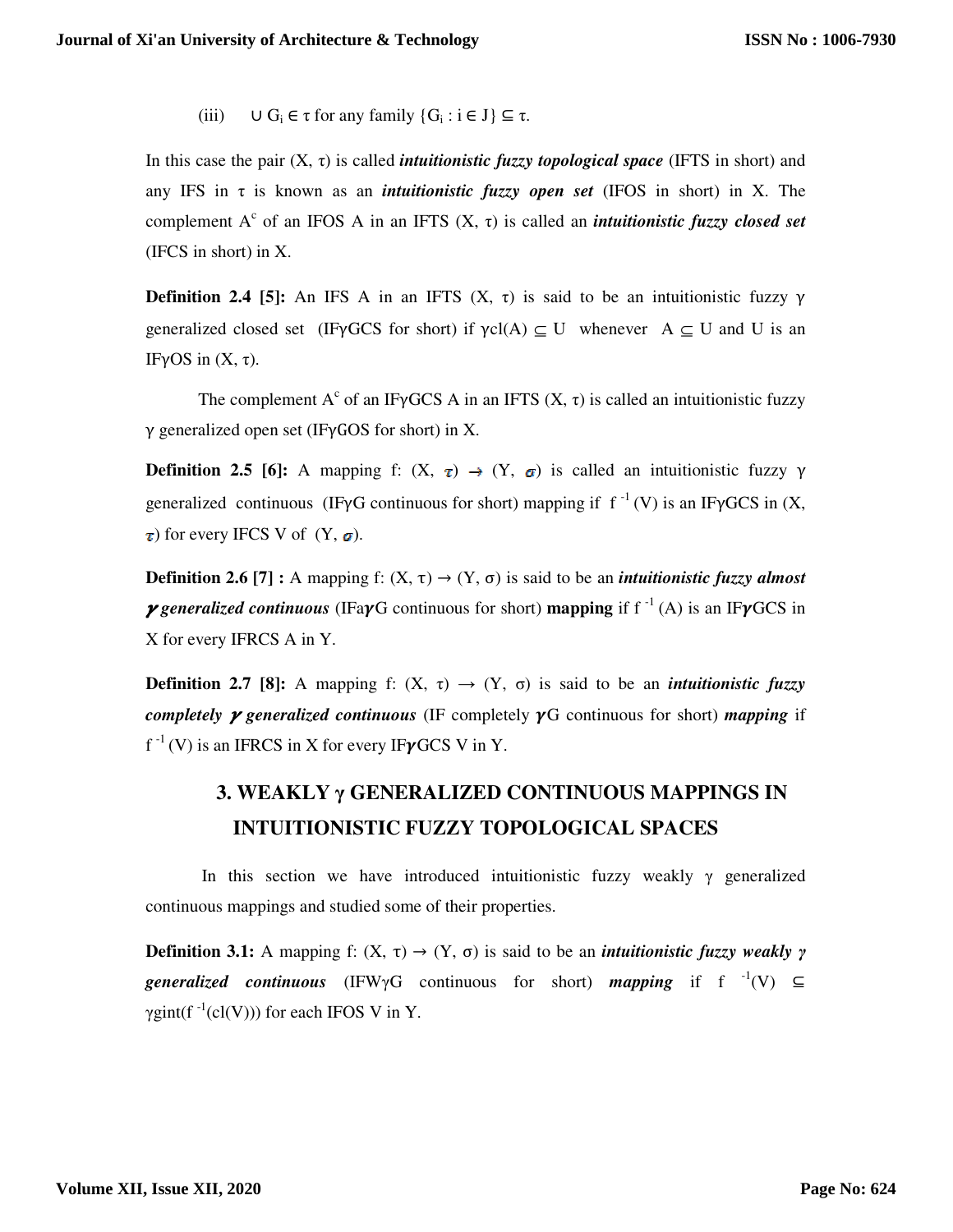(iii)  $\cup G_i \in \tau$  for any family  $\{G_i : i \in J\} \subseteq \tau$ .

In this case the pair (X, τ) is called *intuitionistic fuzzy topological space* (IFTS in short) and any IFS in  $\tau$  is known as an *intuitionistic fuzzy open set* (IFOS in short) in X. The complement  $A^c$  of an IFOS A in an IFTS  $(X, \tau)$  is called an *intuitionistic fuzzy closed set* (IFCS in short) in X.

**Definition 2.4 [5]:** An IFS A in an IFTS  $(X, \tau)$  is said to be an intuitionistic fuzzy  $\gamma$ generalized closed set (IFγGCS for short) if  $\gamma cI(A) \subseteq U$  whenever A  $\subseteq U$  and U is an IFγOS in (X, τ).

The complement  $A^c$  of an IF $\gamma$ GCS A in an IFTS  $(X, \tau)$  is called an intuitionistic fuzzy γ generalized open set (IFγGOS for short) in X.

**Definition 2.5 [6]:** A mapping f:  $(X, \tau) \rightarrow (Y, \sigma)$  is called an intuitionistic fuzzy  $\gamma$ generalized continuous (IFγG continuous for short) mapping if  $f^{-1}(V)$  is an IFγGCS in  $(X, \mathcal{L})$  $\tau$ ) for every IFCS V of  $(Y, \sigma)$ .

**Definition 2.6 [7] :** A mapping f:  $(X, \tau) \rightarrow (Y, \sigma)$  is said to be an *intuitionistic fuzzy almost y* generalized continuous (IFayG continuous for short) **mapping** if  $f^{-1}(A)$  is an IFyGCS in X for every IFRCS A in Y.

**Definition 2.7 [8]:** A mapping f:  $(X, \tau) \rightarrow (Y, \sigma)$  is said to be an *intuitionistic fuzzy completely*  $\gamma$  *generalized continuous (IF completely*  $\gamma$ *G continuous for short) <i>mapping* if  $f^{-1}(V)$  is an IFRCS in X for every IF $\gamma$ GCS V in Y.

## **3. WEAKLY γ GENERALIZED CONTINUOUS MAPPINGS IN INTUITIONISTIC FUZZY TOPOLOGICAL SPACES**

In this section we have introduced intuitionistic fuzzy weakly  $\gamma$  generalized continuous mappings and studied some of their properties.

**Definition 3.1:** A mapping f:  $(X, \tau) \rightarrow (Y, \sigma)$  is said to be an *intuitionistic fuzzy weakly*  $\gamma$ *generalized continuous* (IFW $\gamma$ G continuous for short) *mapping* if f  $^{-1}(V) \subseteq$ γgint(f<sup>-1</sup>(cl(V))) for each IFOS V in Y.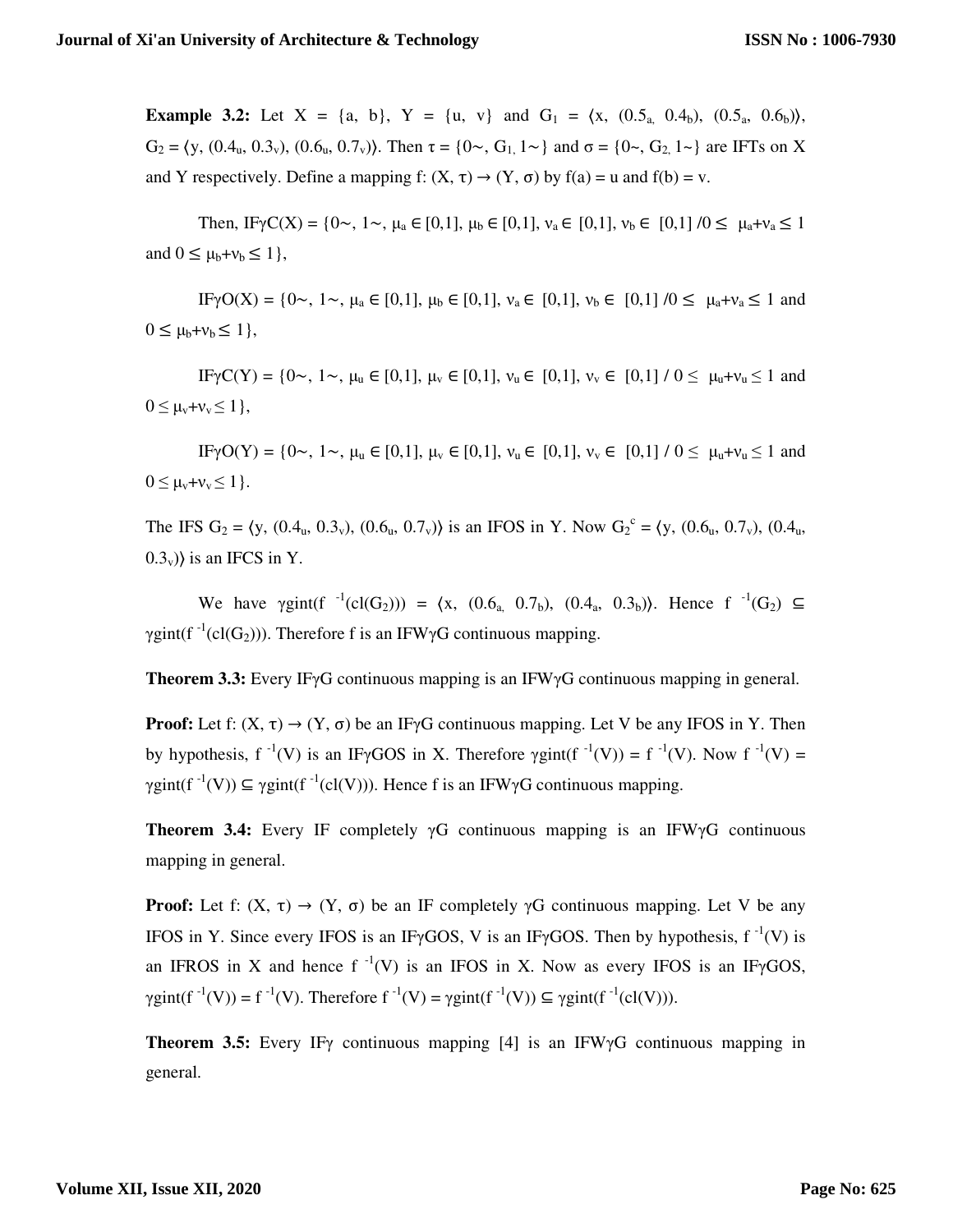**Example 3.2:** Let  $X = \{a, b\}$ ,  $Y = \{u, v\}$  and  $G_1 = \{x, (0.5_a, 0.4_b), (0.5_a, 0.6_b)\}$ , G<sub>2</sub> =  $(y, (0.4_u, 0.3_v), (0.6_u, 0.7_v))$ . Then  $\tau = \{0 \sim, G_1, 1 \sim\}$  and  $\sigma = \{0 \sim, G_2, 1 \sim\}$  are IFTs on X and Y respectively. Define a mapping f:  $(X, \tau) \rightarrow (Y, \sigma)$  by  $f(a) = u$  and  $f(b) = v$ .

Then, IF $\gamma C(X) = \{0, 1, 1, \mu_a \in [0, 1], \mu_b \in [0, 1], \nu_a \in [0, 1], \nu_b \in [0, 1] \}$  /0  $\leq \mu_a + \nu_a \leq 1$ and  $0 \leq \mu_b + v_b \leq 1$ ,

IFγO(X) = {0~, 1~, μ<sub>a</sub> ∈ [0,1], μ<sub>b</sub> ∈ [0,1], ν<sub>a</sub> ∈ [0,1], ν<sub>b</sub> ∈ [0,1] /0 ≤ μ<sub>a</sub>+ν<sub>a</sub> ≤ 1 and  $0 \leq \mu_b + v_b \leq 1$ ,

IFγC(Y) = {0~, 1~, μ<sub>u</sub> ∈ [0,1], μ<sub>v</sub> ∈ [0,1],  $v_u$  ∈ [0,1],  $v_v$  ∈ [0,1] / 0 ≤ μ<sub>u</sub>+v<sub>u</sub> ≤ 1 and  $0 \leq \mu_v + v_v \leq 1$ ,

IFγO(Y) = {0~, 1~, μ<sub>u</sub> ∈ [0,1], μ<sub>v</sub> ∈ [0,1], ν<sub>u</sub> ∈ [0,1],  $v_y$  ∈ [0,1] / 0 ≤ μ<sub>u</sub>+v<sub>u</sub> ≤ 1 and  $0 \leq \mu_v + v_v \leq 1$ .

The IFS  $G_2 = \langle y, (0.4_u, 0.3_v), (0.6_u, 0.7_v) \rangle$  is an IFOS in Y. Now  $G_2^c = \langle y, (0.6_u, 0.7_v), (0.4_u, 0.7_v) \rangle$  $(0.3_v)$  is an IFCS in Y.

We have  $\gamma \text{gint}(f^{-1}(cl(G_2))) = \langle x, (0.6, 0.7_b), (0.4, 0.3_b) \rangle$ . Hence  $f^{-1}(G_2) \subseteq$ γgint(f<sup>-1</sup>(cl(G<sub>2</sub>))). Therefore f is an IFWγG continuous mapping.

**Theorem 3.3:** Every IFγG continuous mapping is an IFWγG continuous mapping in general.

**Proof:** Let f:  $(X, \tau) \rightarrow (Y, \sigma)$  be an IFyG continuous mapping. Let V be any IFOS in Y. Then by hypothesis,  $f^{-1}(V)$  is an IFγGOS in X. Therefore  $\gamma$ gint( $f^{-1}(V) = f^{-1}(V)$ . Now  $f^{-1}(V) =$  $\gamma$ gint(f<sup>-1</sup>(V))  $\subseteq \gamma$ gint(f<sup>-1</sup>(cl(V))). Hence f is an IFW $\gamma$ G continuous mapping.

**Theorem 3.4:** Every IF completely γG continuous mapping is an IFWγG continuous mapping in general.

**Proof:** Let f:  $(X, \tau) \rightarrow (Y, \sigma)$  be an IF completely  $\gamma G$  continuous mapping. Let V be any IFOS in Y. Since every IFOS is an IF $\gamma$ GOS, V is an IF $\gamma$ GOS. Then by hypothesis, f<sup>-1</sup>(V) is an IFROS in X and hence f<sup>-1</sup>(V) is an IFOS in X. Now as every IFOS is an IF $\gamma$ GOS,  $\gamma \text{gint}(f^{-1}(V)) = f^{-1}(V)$ . Therefore  $f^{-1}(V) = \gamma \text{gint}(f^{-1}(V)) \subseteq \gamma \text{gint}(f^{-1}(cl(V))).$ 

**Theorem 3.5:** Every IF<sub>Y</sub> continuous mapping [4] is an IFW<sub>Y</sub>G continuous mapping in general.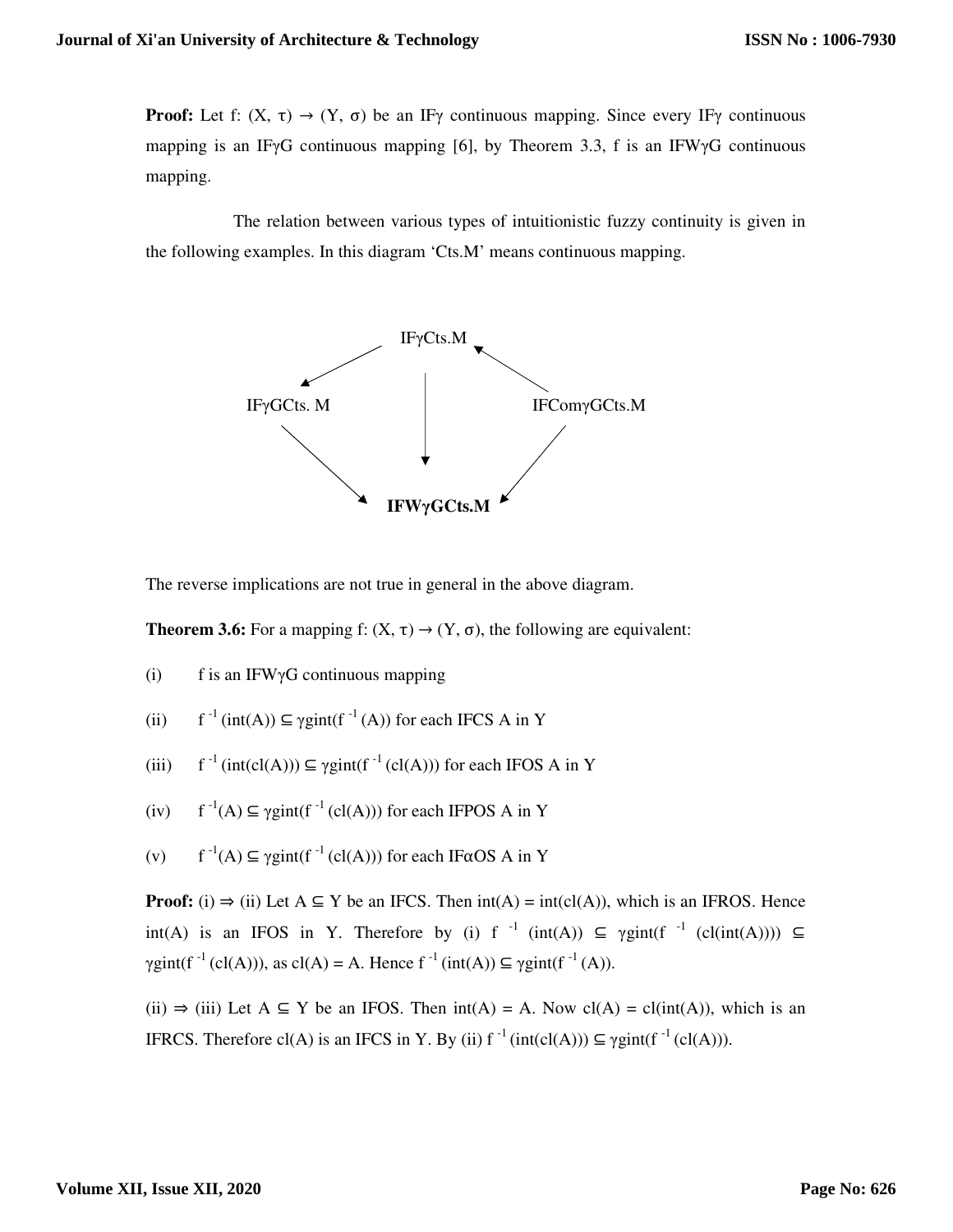**Proof:** Let f:  $(X, \tau) \rightarrow (Y, \sigma)$  be an IF<sub>γ</sub> continuous mapping. Since every IF<sub>γ</sub> continuous mapping is an IFγG continuous mapping [6], by Theorem 3.3, f is an IFWγG continuous mapping.

 The relation between various types of intuitionistic fuzzy continuity is given in the following examples. In this diagram 'Cts.M' means continuous mapping.



The reverse implications are not true in general in the above diagram.

**Theorem 3.6:** For a mapping f:  $(X, \tau) \rightarrow (Y, \sigma)$ , the following are equivalent:

(i) f is an IFW $\gamma$ G continuous mapping

(ii) 
$$
f^{-1} (int(A)) \subseteq \gamma gint(f^{-1}(A))
$$
 for each IFCS A in Y

(iii) 
$$
f^{-1}(\text{int}(cl(A))) \subseteq \gamma \text{gint}(f^{-1}(cl(A)))
$$
 for each IFOS A in Y

- (iv)  $f^{-1}(A) \subseteq \gamma gint(f^{-1}(cl(A)))$  for each IFPOS A in Y
- (v)  $f^{-1}(A) \subseteq \gamma gint(f^{-1}(cl(A)))$  for each IF $\alpha$ OS A in Y

**Proof:** (i)  $\Rightarrow$  (ii) Let  $A \subseteq Y$  be an IFCS. Then  $int(A) = int(cl(A))$ , which is an IFROS. Hence int(A) is an IFOS in Y. Therefore by (i) f<sup>-1</sup> (int(A)) ⊆  $\gamma$ gint(f<sup>-1</sup> (cl(int(A)))) ⊆  $\gamma$ gint(f<sup>-1</sup> (cl(A))), as cl(A) = A. Hence f<sup>-1</sup> (int(A))  $\subseteq \gamma$ gint(f<sup>-1</sup> (A)).

(ii)  $\Rightarrow$  (iii) Let A  $\subseteq$  Y be an IFOS. Then int(A) = A. Now cl(A) = cl(int(A)), which is an IFRCS. Therefore cl(A) is an IFCS in Y. By (ii)  $f^{-1}$  (int(cl(A)))  $\subseteq$   $\gamma$ gint(f<sup>-1</sup> (cl(A))).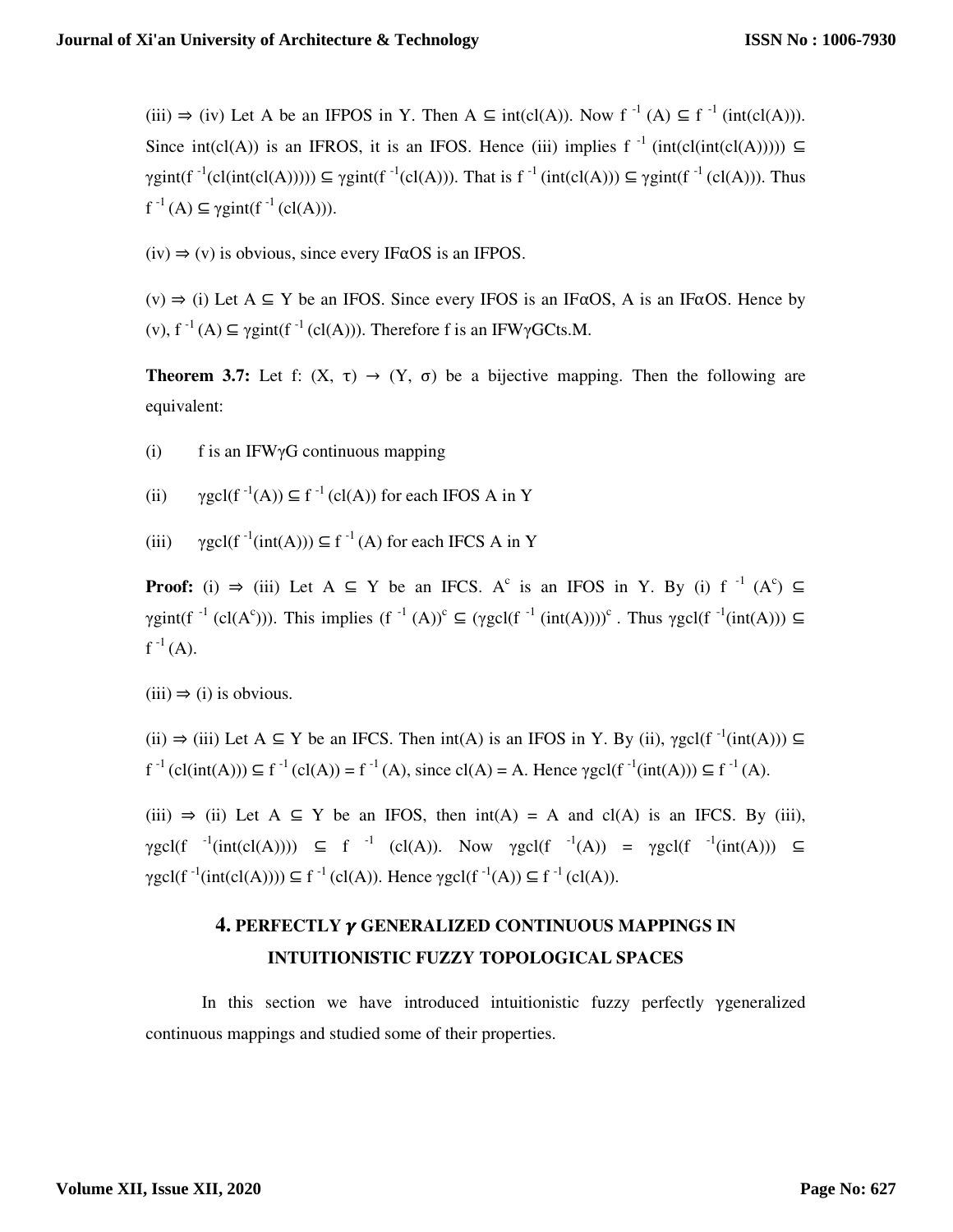(iii)  $\Rightarrow$  (iv) Let A be an IFPOS in Y. Then A  $\subseteq$  int(cl(A)). Now f<sup>-1</sup> (A)  $\subseteq$  f<sup>-1</sup> (int(cl(A))). Since int(cl(A)) is an IFROS, it is an IFOS. Hence (iii) implies f<sup>-1</sup> (int(cl(int(cl(A)))))  $\subseteq$  $\gamma$ gint(f<sup>-1</sup>(cl(int(cl(A)))))  $\subseteq \gamma$ gint(f<sup>-1</sup>(cl(A))). That is f<sup>-1</sup> (int(cl(A)))  $\subseteq \gamma$ gint(f<sup>-1</sup>(cl(A))). Thus  $f^{-1}(A) \subseteq \gamma$ gint(f<sup>-1</sup> (cl(A))).

 $(iv) \Rightarrow (v)$  is obvious, since every IF $\alpha$ OS is an IFPOS.

 $(v) \Rightarrow$  (i) Let  $A \subseteq Y$  be an IFOS. Since every IFOS is an IF $\alpha$ OS, A is an IF $\alpha$ OS. Hence by (v),  $f^{-1}(A) \subseteq \gamma gint(f^{-1}(cl(A)))$ . Therefore f is an IFW $\gamma GC$ ts.M.

**Theorem 3.7:** Let f:  $(X, \tau) \rightarrow (Y, \sigma)$  be a bijective mapping. Then the following are equivalent:

(i) f is an IFW $\gamma$ G continuous mapping

(ii)  $\gamma \text{gcl}(f^{-1}(A)) \subseteq f^{-1}(\text{cl}(A))$  for each IFOS A in Y

(iii)  $\gamma$ gcl(f<sup>-1</sup>(int(A)))  $\subseteq$  f<sup>-1</sup>(A) for each IFCS A in Y

**Proof:** (i)  $\Rightarrow$  (iii) Let A  $\subseteq$  Y be an IFCS. A<sup>c</sup> is an IFOS in Y. By (i) f<sup>-1</sup> (A<sup>c</sup>)  $\subseteq$  $\gamma$ gint(f<sup>-1</sup> (cl(A<sup>c</sup>))). This implies (f<sup>-1</sup> (A))<sup>c</sup>  $\subseteq$  ( $\gamma$ gcl(f<sup>-1</sup> (int(A))))<sup>c</sup>. Thus  $\gamma$ gcl(f<sup>-1</sup>(int(A)))  $\subseteq$  $f^{-1}(A)$ .

 $(iii) \Rightarrow (i)$  is obvious.

(ii)  $\Rightarrow$  (iii) Let A  $\subseteq$  Y be an IFCS. Then int(A) is an IFOS in Y. By (ii),  $\gamma \text{gcl}(f^{-1}(\text{int}(A))) \subseteq$  $f^{-1}(cl(int(A))) \subseteq f^{-1}(cl(A)) = f^{-1}(A)$ , since  $cl(A) = A$ . Hence  $\gamma \text{gcl}(f^{-1}(int(A))) \subseteq f^{-1}(A)$ .

(iii)  $\Rightarrow$  (ii) Let A  $\subseteq$  Y be an IFOS, then int(A) = A and cl(A) is an IFCS. By (iii),  $\gamma \text{gcl}(f^{-1}(\text{int}(cl(A)))) \subseteq f^{-1}$  (cl(A)). Now  $\gamma \text{gcl}(f^{-1}(A)) = \gamma \text{gcl}(f^{-1}(\text{int}(A))) \subseteq$  $\gamma \text{gcl}(f^{-1}(\text{int}(cl(A)))) \subseteq f^{-1}(cl(A)).$  Hence  $\gamma \text{gcl}(f^{-1}(A)) \subseteq f^{-1}(cl(A)).$ 

### **4. PERFECTLY GENERALIZED CONTINUOUS MAPPINGS IN INTUITIONISTIC FUZZY TOPOLOGICAL SPACES**

In this section we have introduced intuitionistic fuzzy perfectly γgeneralized continuous mappings and studied some of their properties.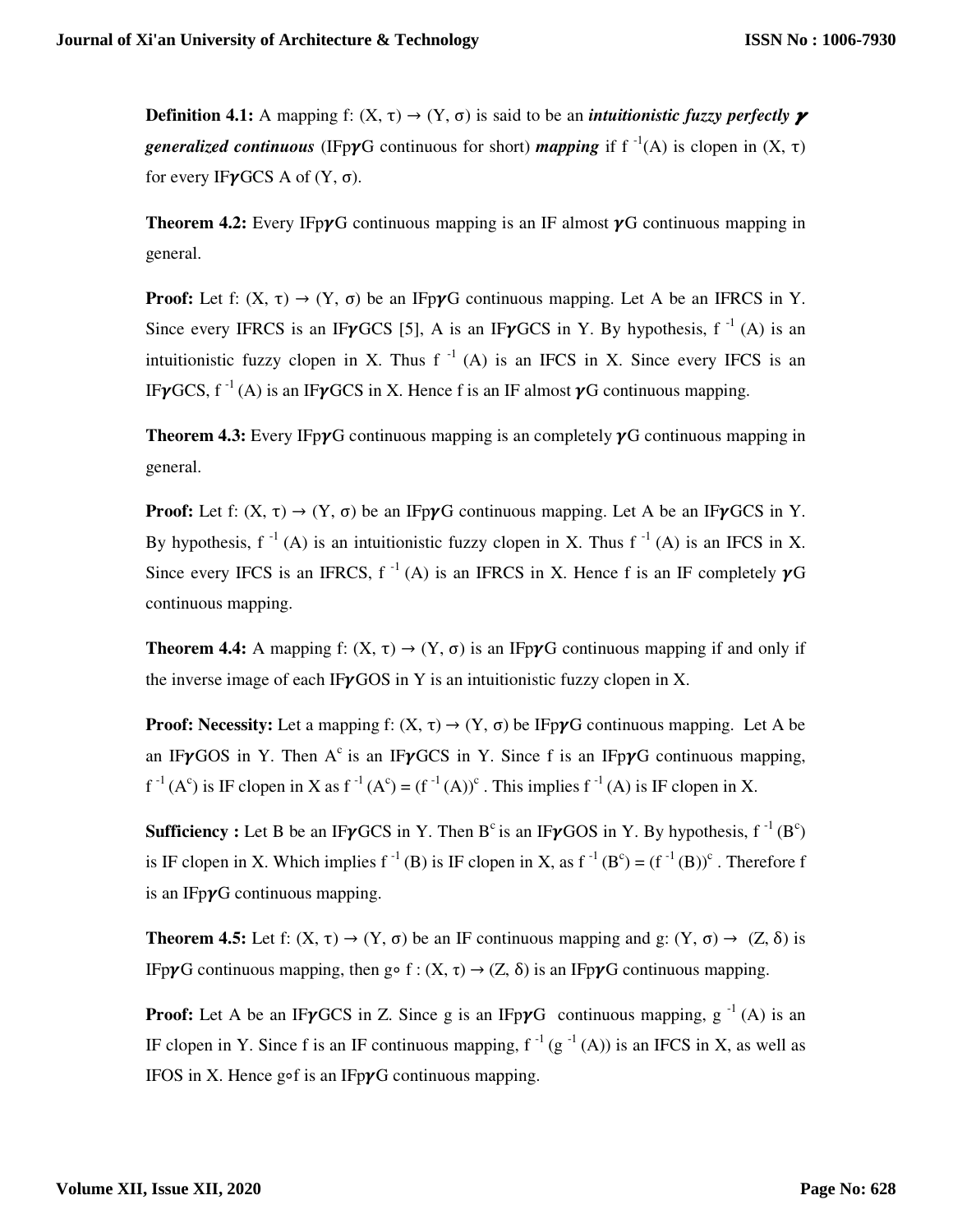**Definition 4.1:** A mapping f:  $(X, \tau) \rightarrow (Y, \sigma)$  is said to be an *intuitionistic fuzzy perfectly*  $\gamma$ *generalized continuous* (IFp $\gamma$ G continuous for short) *mapping* if  $f^{-1}(A)$  is clopen in  $(X, \tau)$ for every IF $\gamma$ GCS A of (Y,  $\sigma$ ).

**Theorem 4.2:** Every IFp $\gamma$ G continuous mapping is an IF almost  $\gamma$ G continuous mapping in general.

**Proof:** Let f:  $(X, \tau) \rightarrow (Y, \sigma)$  be an IFp $\gamma G$  continuous mapping. Let A be an IFRCS in Y. Since every IFRCS is an IF $\gamma$ GCS [5], A is an IF $\gamma$ GCS in Y. By hypothesis, f<sup>-1</sup> (A) is an intuitionistic fuzzy clopen in X. Thus  $f^{-1}(A)$  is an IFCS in X. Since every IFCS is an IF $\nu$ GCS, f<sup>-1</sup>(A) is an IF $\nu$ GCS in X. Hence f is an IF almost  $\nu$ G continuous mapping.

**Theorem 4.3:** Every IFp $\gamma$ G continuous mapping is an completely  $\gamma$ G continuous mapping in general.

**Proof:** Let f:  $(X, \tau) \rightarrow (Y, \sigma)$  be an IFpyG continuous mapping. Let A be an IFyGCS in Y. By hypothesis,  $f^{-1}(A)$  is an intuitionistic fuzzy clopen in X. Thus  $f^{-1}(A)$  is an IFCS in X. Since every IFCS is an IFRCS,  $f^{-1}(A)$  is an IFRCS in X. Hence f is an IF completely  $\gamma G$ continuous mapping.

**Theorem 4.4:** A mapping f:  $(X, \tau) \rightarrow (Y, \sigma)$  is an IFpyG continuous mapping if and only if the inverse image of each IF $\gamma$ GOS in Y is an intuitionistic fuzzy clopen in X.

**Proof: Necessity:** Let a mapping f:  $(X, \tau) \rightarrow (Y, \sigma)$  be IFpyG continuous mapping. Let A be an IF $\nu$ GOS in Y. Then A<sup>c</sup> is an IF $\nu$ GCS in Y. Since f is an IFp $\nu$ G continuous mapping,  $f^{-1}(A^c)$  is IF clopen in X as  $f^{-1}(A^c) = (f^{-1}(A))^c$ . This implies  $f^{-1}(A)$  is IF clopen in X.

**Sufficiency :** Let B be an IF $\gamma$ GCS in Y. Then B<sup>c</sup> is an IF $\gamma$ GOS in Y. By hypothesis, f<sup>-1</sup>(B<sup>c</sup>) is IF clopen in X. Which implies  $f^{-1}(B)$  is IF clopen in X, as  $f^{-1}(B^c) = (f^{-1}(B))^c$ . Therefore f is an IFp $\gamma$ G continuous mapping.

**Theorem 4.5:** Let f:  $(X, \tau) \rightarrow (Y, \sigma)$  be an IF continuous mapping and g:  $(Y, \sigma) \rightarrow (Z, \delta)$  is IFpγG continuous mapping, then g o f : (X, τ)  $\rightarrow$  (Z, δ) is an IFpγG continuous mapping.

**Proof:** Let A be an IF $\gamma$ GCS in Z. Since g is an IFp $\gamma$ G continuous mapping, g<sup>-1</sup>(A) is an IF clopen in Y. Since f is an IF continuous mapping,  $f^{-1}(g^{-1}(A))$  is an IFCS in X, as well as IFOS in X. Hence gof is an IFp $\gamma$ G continuous mapping.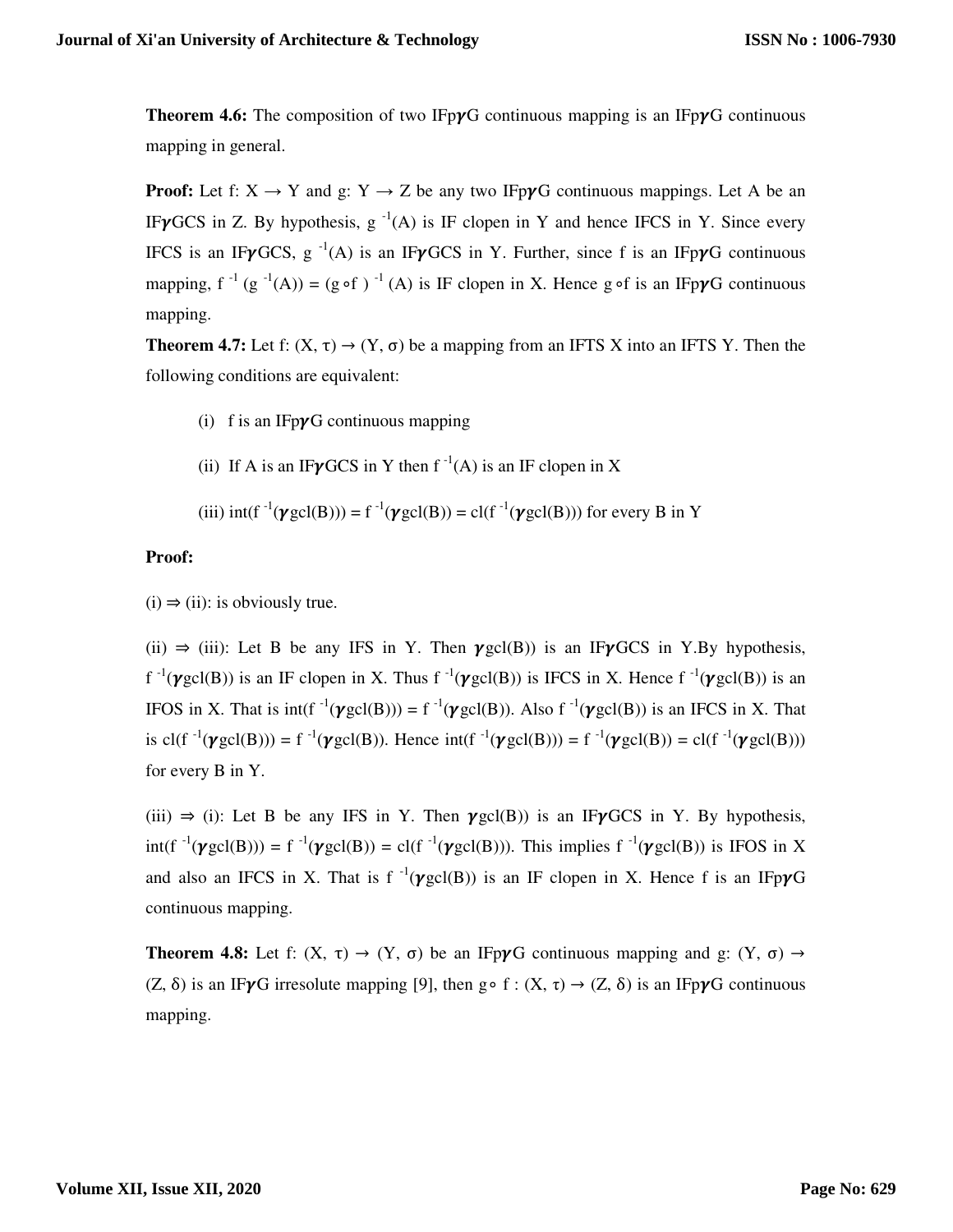**Theorem 4.6:** The composition of two IFp $\gamma$ G continuous mapping is an IFp $\gamma$ G continuous mapping in general.

**Proof:** Let f:  $X \rightarrow Y$  and g:  $Y \rightarrow Z$  be any two IFp $\gamma G$  continuous mappings. Let A be an IF $\gamma$ GCS in Z. By hypothesis, g<sup>-1</sup>(A) is IF clopen in Y and hence IFCS in Y. Since every IFCS is an IF $\gamma GCS$ , g<sup>-1</sup>(A) is an IF $\gamma GCS$  in Y. Further, since f is an IFp $\gamma G$  continuous mapping,  $f^{-1} (g^{-1}(A)) = (g \circ f)^{-1}(A)$  is IF clopen in X. Hence g of is an IFp $\gamma G$  continuous mapping.

**Theorem 4.7:** Let f:  $(X, \tau) \rightarrow (Y, \sigma)$  be a mapping from an IFTS X into an IFTS Y. Then the following conditions are equivalent:

- (i) f is an IFp $\gamma$ G continuous mapping
- (ii) If A is an IF $\gamma$ GCS in Y then f<sup>-1</sup>(A) is an IF clopen in X

(iii) int(f<sup>-1</sup>(
$$
\gamma
$$
gcl(B))) = f<sup>-1</sup>( $\gamma$ gcl(B)) = cl(f<sup>-1</sup>( $\gamma$ gcl(B))) for every B in Y

### **Proof:**

 $(i) \Rightarrow (ii)$ : is obviously true.

(ii)  $\Rightarrow$  (iii): Let B be any IFS in Y. Then  $\gamma$ gcl(B)) is an IF $\gamma$ GCS in Y.By hypothesis,  $f^{-1}(\gamma \text{gcd}(B))$  is an IF clopen in X. Thus  $f^{-1}(\gamma \text{gcd}(B))$  is IFCS in X. Hence  $f^{-1}(\gamma \text{gcd}(B))$  is an IFOS in X. That is  $int(f^{-1}(\gamma \text{gcd}(B))) = f^{-1}(\gamma \text{gcd}(B))$ . Also  $f^{-1}(\gamma \text{gcd}(B))$  is an IFCS in X. That is  $cl(f^{-1}(\gamma \text{gcd}(B))) = f^{-1}(\gamma \text{gcd}(B))$ . Hence  $\text{int}(f^{-1}(\gamma \text{gcd}(B))) = f^{-1}(\gamma \text{gcd}(B)) = cl(f^{-1}(\gamma \text{gcd}(B)))$ for every B in Y.

(iii)  $\Rightarrow$  (i): Let B be any IFS in Y. Then  $\gamma \text{gcl}(B)$ ) is an IF $\gamma$ GCS in Y. By hypothesis,  $int(f^{-1}(\gamma \text{gcd}(B))) = f^{-1}(\gamma \text{gcd}(B)) = \text{cl}(f^{-1}(\gamma \text{gcd}(B)))$ . This implies  $f^{-1}(\gamma \text{gcd}(B))$  is IFOS in X and also an IFCS in X. That is  $f^{-1}(\gamma gcl(B))$  is an IF clopen in X. Hence f is an IFp $\gamma G$ continuous mapping.

**Theorem 4.8:** Let f:  $(X, \tau) \rightarrow (Y, \sigma)$  be an IFp $\gamma G$  continuous mapping and g:  $(Y, \sigma) \rightarrow$ (Z,  $\delta$ ) is an IFyG irresolute mapping [9], then g  $\circ$  f : (X,  $\tau$ )  $\rightarrow$  (Z,  $\delta$ ) is an IFpyG continuous mapping.